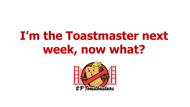## **I'm the Toastmaster next week, now what?**

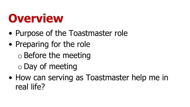#### **Overview**

- Purpose of the Toastmaster role
- Preparing for the role o Before the meeting o Day of meeting
- How can serving as Toastmaster help me in real life?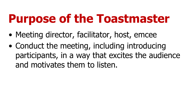## **Purpose of the Toastmaster**

- Meeting director, facilitator, host, emcee
- Conduct the meeting, including introducing participants, in a way that excites the audience and motivates them to listen.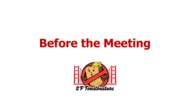#### **Before the Meeting**

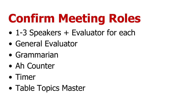# **Confirm Meeting Roles**

- 1-3 Speakers + Evaluator for each
- General Evaluator
- Grammarian
- Ah Counter
- Timer
- Table Topics Master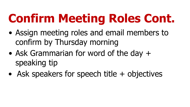## **Confirm Meeting Roles Cont.**

- Assign meeting roles and email members to confirm by Thursday morning
- Ask Grammarian for word of the day + speaking tip
- Ask speakers for speech title + objectives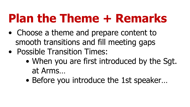## **Plan the Theme + Remarks**

- Choose a theme and prepare content to smooth transitions and fill meeting gaps
- Possible Transition Times:
	- When you are first introduced by the Sgt. at Arms…
	- Before you introduce the 1st speaker…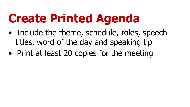## **Create Printed Agenda**

- Include the theme, schedule, roles, speech titles, word of the day and speaking tip
- Print at least 20 copies for the meeting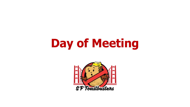## **Day of Meeting**

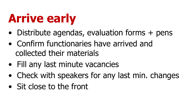# **Arrive early**

- Distribute agendas, evaluation forms + pens
- Confirm functionaries have arrived and collected their materials
- Fill any last minute vacancies
- Check with speakers for any last min. changes
- Sit close to the front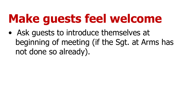## **Make guests feel welcome**

• Ask guests to introduce themselves at beginning of meeting (if the Sgt. at Arms has not done so already).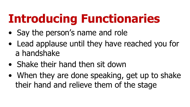# **Introducing Functionaries**

- Say the person's name and role
- Lead applause until they have reached you for a handshake
- Shake their hand then sit down
- When they are done speaking, get up to shake their hand and relieve them of the stage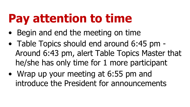## **Pay attention to time**

- Begin and end the meeting on time
- Table Topics should end around 6:45 pm Around 6:43 pm, alert Table Topics Master that he/she has only time for 1 more participant
- Wrap up your meeting at 6:55 pm and introduce the President for announcements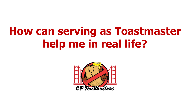#### **How can serving as Toastmaster help me in real life?**